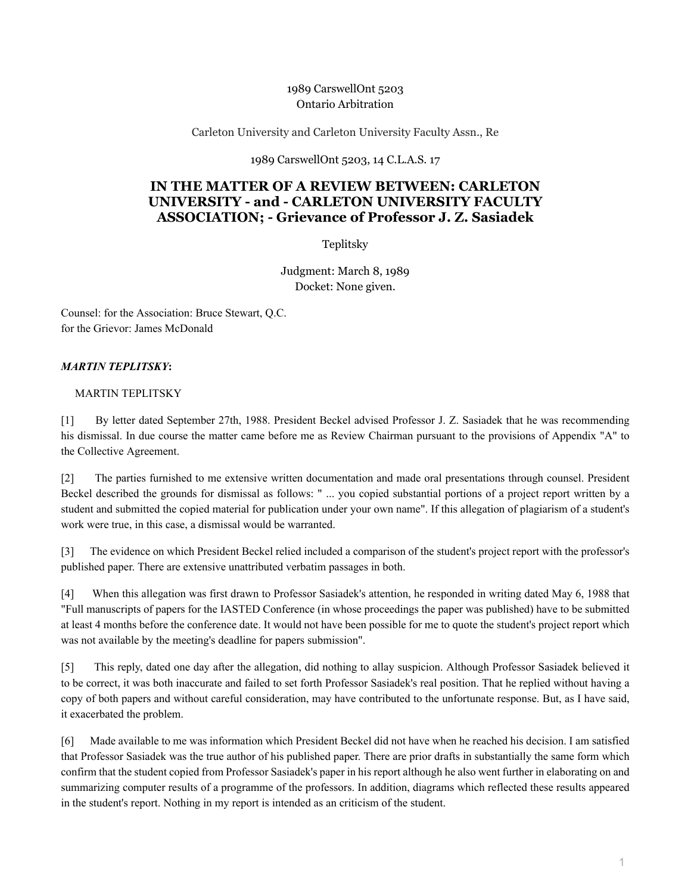## 1989 CarswellOnt 5203 Ontario Arbitration

Carleton University and Carleton University Faculty Assn., Re

1989 CarswellOnt 5203, 14 C.L.A.S. 17

## **IN THE MATTER OF A REVIEW BETWEEN: CARLETON UNIVERSITY - and - CARLETON UNIVERSITY FACULTY ASSOCIATION; - Grievance of Professor J. Z. Sasiadek**

Teplitsky

Judgment: March 8, 1989 Docket: None given.

Counsel: for the Association: Bruce Stewart, Q.C. for the Grievor: James McDonald

## *MARTIN TEPLITSKY***:**

## MARTIN TEPLITSKY

[1] By letter dated September 27th, 1988. President Beckel advised Professor J. Z. Sasiadek that he was recommending his dismissal. In due course the matter came before me as Review Chairman pursuant to the provisions of Appendix "A" to the Collective Agreement.

[2] The parties furnished to me extensive written documentation and made oral presentations through counsel. President Beckel described the grounds for dismissal as follows: " ... you copied substantial portions of a project report written by a student and submitted the copied material for publication under your own name". If this allegation of plagiarism of a student's work were true, in this case, a dismissal would be warranted.

[3] The evidence on which President Beckel relied included a comparison of the student's project report with the professor's published paper. There are extensive unattributed verbatim passages in both.

[4] When this allegation was first drawn to Professor Sasiadek's attention, he responded in writing dated May 6, 1988 that "Full manuscripts of papers for the IASTED Conference (in whose proceedings the paper was published) have to be submitted at least 4 months before the conference date. It would not have been possible for me to quote the student's project report which was not available by the meeting's deadline for papers submission".

[5] This reply, dated one day after the allegation, did nothing to allay suspicion. Although Professor Sasiadek believed it to be correct, it was both inaccurate and failed to set forth Professor Sasiadek's real position. That he replied without having a copy of both papers and without careful consideration, may have contributed to the unfortunate response. But, as I have said, it exacerbated the problem.

[6] Made available to me was information which President Beckel did not have when he reached his decision. I am satisfied that Professor Sasiadek was the true author of his published paper. There are prior drafts in substantially the same form which confirm that the student copied from Professor Sasiadek's paper in his report although he also went further in elaborating on and summarizing computer results of a programme of the professors. In addition, diagrams which reflected these results appeared in the student's report. Nothing in my report is intended as an criticism of the student.